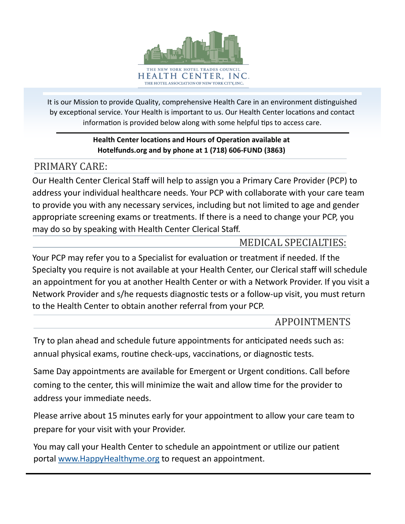

It is our Mission to provide Quality, comprehensive Health Care in an environment distinguished by exceptional service. Your Health is important to us. Our Health Center locations and contact information is provided below along with some helpful tips to access care.

## **Health Center locations and Hours of Operation available at Hotelfunds.org and by phone at 1 (718) 606-FUND (3863)**

# PRIMARY CARE:

Our Health Center Clerical Staff will help to assign you a Primary Care Provider (PCP) to address your individual healthcare needs. Your PCP with collaborate with your care team to provide you with any necessary services, including but not limited to age and gender appropriate screening exams or treatments. If there is a need to change your PCP, you may do so by speaking with Health Center Clerical Staff.

# MEDICAL SPECIALTIES:

Your PCP may refer you to a Specialist for evaluation or treatment if needed. If the Specialty you require is not available at your Health Center, our Clerical staff will schedule an appointment for you at another Health Center or with a Network Provider. If you visit a Network Provider and s/he requests diagnostic tests or a follow-up visit, you must return to the Health Center to obtain another referral from your PCP.

# APPOINTMENTS

Try to plan ahead and schedule future appointments for anticipated needs such as: annual physical exams, routine check-ups, vaccinations, or diagnostic tests.

Same Day appointments are available for Emergent or Urgent conditions. Call before coming to the center, this will minimize the wait and allow time for the provider to address your immediate needs.

Please arrive about 15 minutes early for your appointment to allow your care team to prepare for your visit with your Provider.

You may call your Health Center to schedule an appointment or utilize our patient portal [www.HappyHealthyme.org](http://www.HappyHealthyme.org) to request an appointment.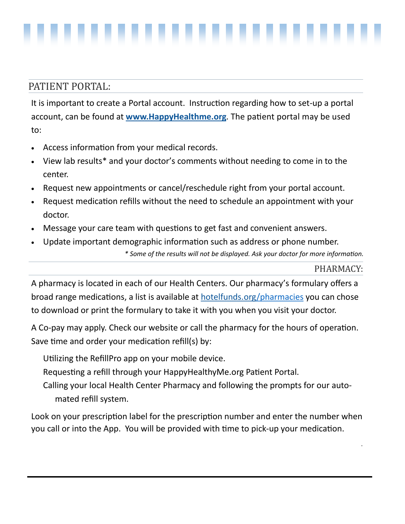## PATIENT PORTAL:

It is important to create a Portal account. Instruction regarding how to set-up a portal account, can be found at **[www.HappyHealthme.org](http://www.HappyHealthme.org)**. The patient portal may be used to:

- Access information from your medical records.
- View lab results\* and your doctor's comments without needing to come in to the center.
- Request new appointments or cancel/reschedule right from your portal account.
- Request medication refills without the need to schedule an appointment with your doctor.
- Message your care team with questions to get fast and convenient answers.
- Update important demographic information such as address or phone number. *\* Some of the results will not be displayed. Ask your doctor for more information.*

### PHARMACY:

*.*

A pharmacy is located in each of our Health Centers. Our pharmacy's formulary offers a broad range medications, a list is available at [hotelfunds.org/](http://www.hotelfunds.org)pharmacies you can chose to download or print the formulary to take it with you when you visit your doctor.

A Co-pay may apply. Check our website or call the pharmacy for the hours of operation. Save time and order your medication refill(s) by:

Utilizing the RefillPro app on your mobile device.

Requesting a refill through your HappyHealthyMe.org Patient Portal.

Calling your local Health Center Pharmacy and following the prompts for our automated refill system.

Look on your prescription label for the prescription number and enter the number when you call or into the App. You will be provided with time to pick-up your medication.